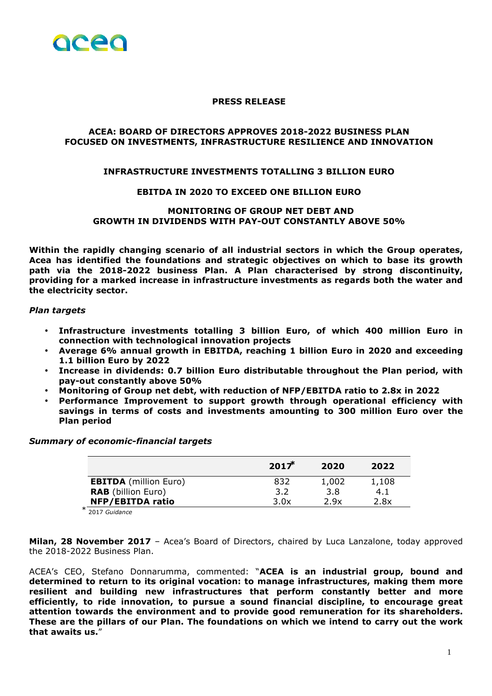

### **PRESS RELEASE**

# **ACEA: BOARD OF DIRECTORS APPROVES 2018-2022 BUSINESS PLAN FOCUSED ON INVESTMENTS, INFRASTRUCTURE RESILIENCE AND INNOVATION**

## **INFRASTRUCTURE INVESTMENTS TOTALLING 3 BILLION EURO**

### **EBITDA IN 2020 TO EXCEED ONE BILLION EURO**

## **MONITORING OF GROUP NET DEBT AND GROWTH IN DIVIDENDS WITH PAY-OUT CONSTANTLY ABOVE 50%**

**Within the rapidly changing scenario of all industrial sectors in which the Group operates, Acea has identified the foundations and strategic objectives on which to base its growth path via the 2018-2022 business Plan. A Plan characterised by strong discontinuity, providing for a marked increase in infrastructure investments as regards both the water and the electricity sector.** 

#### *Plan targets*

- **Infrastructure investments totalling 3 billion Euro, of which 400 million Euro in connection with technological innovation projects**
- **Average 6% annual growth in EBITDA, reaching 1 billion Euro in 2020 and exceeding 1.1 billion Euro by 2022**
- **Increase in dividends: 0.7 billion Euro distributable throughout the Plan period, with pay-out constantly above 50%**
- **Monitoring of Group net debt, with reduction of NFP/EBITDA ratio to 2.8x in 2022**
- **Performance Improvement to support growth through operational efficiency with savings in terms of costs and investments amounting to 300 million Euro over the Plan period**

#### *Summary of economic-financial targets*

|                              | 2017 | 2020  | 2022  |
|------------------------------|------|-------|-------|
| <b>EBITDA</b> (million Euro) | 832  | 1,002 | 1,108 |
| <b>RAB</b> (billion Euro)    | 3.2  | 3.8   | 4.1   |
| <b>NFP/EBITDA ratio</b>      | 3.0x | 2.9x  | 2.8x  |
|                              |      |       |       |

⃰ 2017 *Guidance*

**Milan, 28 November 2017** – Acea's Board of Directors, chaired by Luca Lanzalone, today approved the 2018-2022 Business Plan.

ACEA's CEO, Stefano Donnarumma, commented: "**ACEA is an industrial group, bound and determined to return to its original vocation: to manage infrastructures, making them more resilient and building new infrastructures that perform constantly better and more efficiently, to ride innovation, to pursue a sound financial discipline, to encourage great attention towards the environment and to provide good remuneration for its shareholders. These are the pillars of our Plan. The foundations on which we intend to carry out the work that awaits us.**"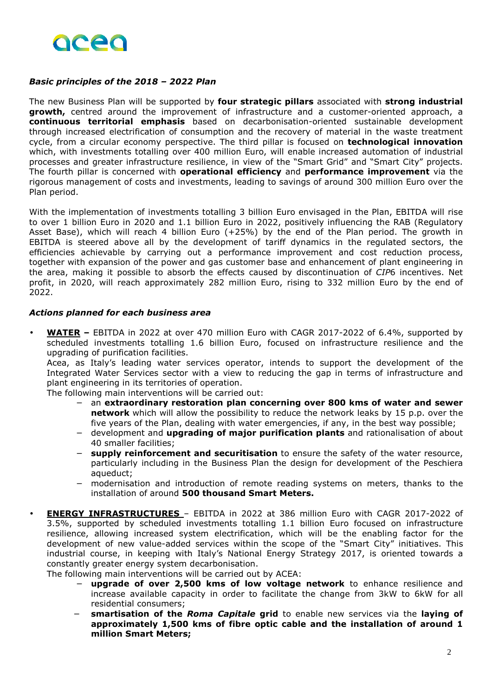

# *Basic principles of the 2018 – 2022 Plan*

The new Business Plan will be supported by **four strategic pillars** associated with **strong industrial growth,** centred around the improvement of infrastructure and a customer-oriented approach, a **continuous territorial emphasis** based on decarbonisation-oriented sustainable development through increased electrification of consumption and the recovery of material in the waste treatment cycle, from a circular economy perspective. The third pillar is focused on **technological innovation** which, with investments totalling over 400 million Euro, will enable increased automation of industrial processes and greater infrastructure resilience, in view of the "Smart Grid" and "Smart City" projects. The fourth pillar is concerned with **operational efficiency** and **performance improvement** via the rigorous management of costs and investments, leading to savings of around 300 million Euro over the Plan period.

With the implementation of investments totalling 3 billion Euro envisaged in the Plan, EBITDA will rise to over 1 billion Euro in 2020 and 1.1 billion Euro in 2022, positively influencing the RAB (Regulatory Asset Base), which will reach 4 billion Euro (+25%) by the end of the Plan period. The growth in EBITDA is steered above all by the development of tariff dynamics in the regulated sectors, the efficiencies achievable by carrying out a performance improvement and cost reduction process, together with expansion of the power and gas customer base and enhancement of plant engineering in the area, making it possible to absorb the effects caused by discontinuation of *CIP*6 incentives. Net profit, in 2020, will reach approximately 282 million Euro, rising to 332 million Euro by the end of 2022.

### *Actions planned for each business area*

• **WATER –** EBITDA in 2022 at over 470 million Euro with CAGR 2017-2022 of 6.4%, supported by scheduled investments totalling 1.6 billion Euro, focused on infrastructure resilience and the upgrading of purification facilities.

Acea, as Italy's leading water services operator, intends to support the development of the Integrated Water Services sector with a view to reducing the gap in terms of infrastructure and plant engineering in its territories of operation.

The following main interventions will be carried out:

- − an **extraordinary restoration plan concerning over 800 kms of water and sewer network** which will allow the possibility to reduce the network leaks by 15 p.p. over the five years of the Plan, dealing with water emergencies, if any, in the best way possible;
- − development and **upgrading of major purification plants** and rationalisation of about 40 smaller facilities;
- − **supply reinforcement and securitisation** to ensure the safety of the water resource, particularly including in the Business Plan the design for development of the Peschiera aqueduct;
- − modernisation and introduction of remote reading systems on meters, thanks to the installation of around **500 thousand Smart Meters.**
- **ENERGY INFRASTRUCTURES**  EBITDA in 2022 at 386 million Euro with CAGR 2017-2022 of 3.5%, supported by scheduled investments totalling 1.1 billion Euro focused on infrastructure resilience, allowing increased system electrification, which will be the enabling factor for the development of new value-added services within the scope of the "Smart City" initiatives. This industrial course, in keeping with Italy's National Energy Strategy 2017, is oriented towards a constantly greater energy system decarbonisation.

The following main interventions will be carried out by ACEA:

- − **upgrade of over 2,500 kms of low voltage network** to enhance resilience and increase available capacity in order to facilitate the change from 3kW to 6kW for all residential consumers;
- − **smartisation of the** *Roma Capitale* **grid** to enable new services via the **laying of approximately 1,500 kms of fibre optic cable and the installation of around 1 million Smart Meters;**